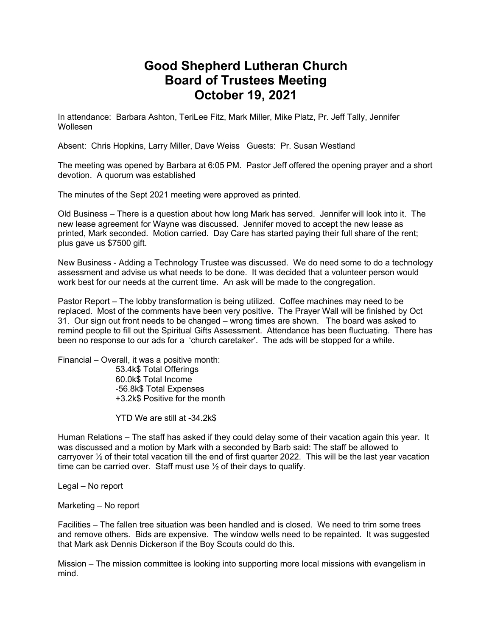## **Good Shepherd Lutheran Church Board of Trustees Meeting October 19, 2021**

In attendance: Barbara Ashton, TeriLee Fitz, Mark Miller, Mike Platz, Pr. Jeff Tally, Jennifer Wollesen

Absent: Chris Hopkins, Larry Miller, Dave Weiss Guests: Pr. Susan Westland

The meeting was opened by Barbara at 6:05 PM. Pastor Jeff offered the opening prayer and a short devotion. A quorum was established

The minutes of the Sept 2021 meeting were approved as printed.

Old Business – There is a question about how long Mark has served. Jennifer will look into it. The new lease agreement for Wayne was discussed. Jennifer moved to accept the new lease as printed, Mark seconded. Motion carried. Day Care has started paying their full share of the rent; plus gave us \$7500 gift.

New Business - Adding a Technology Trustee was discussed. We do need some to do a technology assessment and advise us what needs to be done. It was decided that a volunteer person would work best for our needs at the current time. An ask will be made to the congregation.

Pastor Report – The lobby transformation is being utilized. Coffee machines may need to be replaced. Most of the comments have been very positive. The Prayer Wall will be finished by Oct 31. Our sign out front needs to be changed – wrong times are shown. The board was asked to remind people to fill out the Spiritual Gifts Assessment. Attendance has been fluctuating. There has been no response to our ads for a 'church caretaker'. The ads will be stopped for a while.

Financial – Overall, it was a positive month:

53.4k\$ Total Offerings 60.0k\$ Total Income -56.8k\$ Total Expenses +3.2k\$ Positive for the month

YTD We are still at -34.2k\$

Human Relations – The staff has asked if they could delay some of their vacation again this year. It was discussed and a motion by Mark with a seconded by Barb said: The staff be allowed to carryover ½ of their total vacation till the end of first quarter 2022. This will be the last year vacation time can be carried over. Staff must use ½ of their days to qualify.

Legal – No report

Marketing – No report

Facilities – The fallen tree situation was been handled and is closed. We need to trim some trees and remove others. Bids are expensive. The window wells need to be repainted. It was suggested that Mark ask Dennis Dickerson if the Boy Scouts could do this.

Mission – The mission committee is looking into supporting more local missions with evangelism in mind.